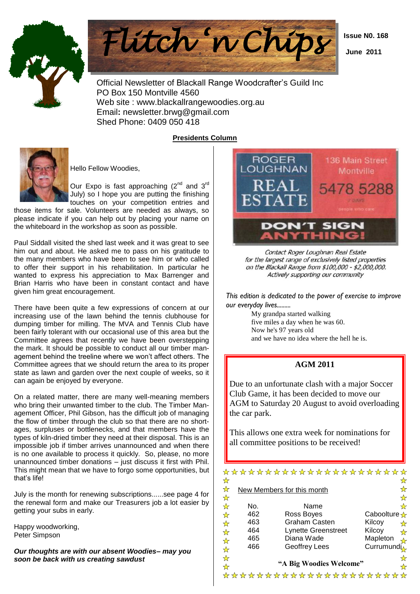



 Official Newsletter of Blackall Range Woodcrafter's Guild Inc PO Box 150 Montville 4560 Web site : www.blackallrangewoodies.org.au Email**:** newsletter.brwg@gmail.com Shed Phone: 0409 050 418

**Presidents Column**



Hello Fellow Woodies,

Our Expo is fast approaching  $(2^{nd}$  and  $3^{rd}$ July) so I hope you are putting the finishing touches on your competition entries and

those items for sale. Volunteers are needed as always, so please indicate if you can help out by placing your name on the whiteboard in the workshop as soon as possible.

Paul Siddall visited the shed last week and it was great to see him out and about. He asked me to pass on his gratitude to the many members who have been to see him or who called to offer their support in his rehabilitation. In particular he wanted to express his appreciation to Max Barrenger and Brian Harris who have been in constant contact and have given him great encouragement.

There have been quite a few expressions of concern at our increasing use of the lawn behind the tennis clubhouse for dumping timber for milling. The MVA and Tennis Club have been fairly tolerant with our occasional use of this area but the Committee agrees that recently we have been overstepping the mark. It should be possible to conduct all our timber management behind the treeline where we won't affect others. The Committee agrees that we should return the area to its proper state as lawn and garden over the next couple of weeks, so it can again be enjoyed by everyone.

On a related matter, there are many well-meaning members who bring their unwanted timber to the club. The Timber Management Officer, Phil Gibson, has the difficult job of managing the flow of timber through the club so that there are no shortages, surpluses or bottlenecks, and that members have the types of kiln-dried timber they need at their disposal. This is an impossible job if timber arrives unannounced and when there is no one available to process it quickly. So, please, no more unannounced timber donations – just discuss it first with Phil. This might mean that we have to forgo some opportunities, but that's life!

July is the month for renewing subscriptions......see page 4 for the renewal form and make our Treasurers job a lot easier by getting your subs in early.

Happy woodworking, Peter Simpson

*Our thoughts are with our absent Woodies– may you soon be back with us creating sawdust*



Contact Roger Loughnan Real Estate for the largest range of exclusively listed properties on the Blackall Range from \$100,000 - \$2,000,000. Actively supporting our community

*This edition is dedicated to the power of exercise to improve our everyday lives.........*

> My grandpa started walking five miles a day when he was 60. Now he's 97 years old and we have no idea where the hell he is.

### **AGM 2011**

Due to an unfortunate clash with a major Soccer Club Game, it has been decided to move our AGM to Saturday 20 August to avoid overloading the car park.

This allows one extra week for nominations for all committee positions to be received!

|   |     | **********************     |                         |
|---|-----|----------------------------|-------------------------|
| ☆ |     |                            |                         |
| ☆ |     | New Members for this month | ⊻≿                      |
| ☆ |     |                            | ✿                       |
| ☆ | No. | Name                       | D                       |
| ☆ | 462 | Ross Boyes                 | Caboolture <del>☆</del> |
| ☆ | 463 | <b>Graham Casten</b>       | Kilcov<br>松             |
| ☆ | 464 | <b>Lynette Greenstreet</b> | Kilcoy<br>D             |
| ☆ | 465 | Diana Wade                 | Mapleton<br>⅍           |
| ☆ | 466 | <b>Geoffrey Lees</b>       | Currumundi              |
| ✬ |     |                            | ⊻≿                      |
| ✿ |     | "A Big Woodies Welcome"    | ⊻≿                      |
|   |     | **********************     |                         |

 **Issue N0. 168**

 **June 2011**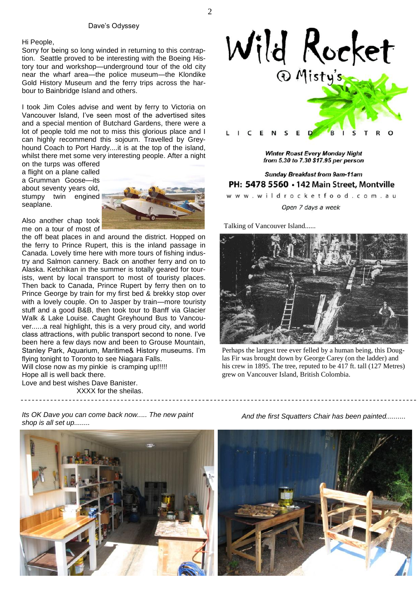#### Hi People,

Sorry for being so long winded in returning to this contraption. Seattle proved to be interesting with the Boeing History tour and workshop—underground tour of the old city near the wharf area—the police museum—the Klondike Gold History Museum and the ferry trips across the harbour to Bainbridge Island and others.

I took Jim Coles advise and went by ferry to Victoria on Vancouver Island, I've seen most of the advertised sites and a special mention of Butchard Gardens, there were a lot of people told me not to miss this glorious place and I can highly recommend this sojourn. Travelled by Greyhound Coach to Port Hardy....it is at the top of the island, whilst there met some very interesting people. After a night

on the turps was offered a flight on a plane called a Grumman Goose—its about seventy years old, stumpy twin engined seaplane.



Also another chap took me on a tour of most of

the off beat places in and around the district. Hopped on the ferry to Prince Rupert, this is the inland passage in Canada. Lovely time here with more tours of fishing industry and Salmon cannery. Back on another ferry and on to Alaska. Ketchikan in the summer is totally geared for tourists, went by local transport to most of touristy places. Then back to Canada, Prince Rupert by ferry then on to Prince George by train for my first bed & brekky stop over with a lovely couple. On to Jasper by train—more touristy stuff and a good B&B, then took tour to Banff via Glacier Walk & Lake Louise. Caught Greyhound Bus to Vancouver......a real highlight, this is a very proud city, and world class attractions, with public transport second to none. I've been here a few days now and been to Grouse Mountain, Stanley Park, Aquarium, Maritime& History museums. I'm flying tonight to Toronto to see Niagara Falls. Will close now as my pinkie is cramping up!!!!! Hope all is well back there.

Love and best wishes Dave Banister.

XXXX for the sheilas.



**Winter Roast Every Monday Night** from 5.30 to 7.30 \$17.95 per person

**Sunday Breakfast from 9am-11am** PH: 5478 5560 . 142 Main Street, Montville

ww.wildrocketfood.com.au

Open 7 days a week

Talking of Vancouver Island......



Perhaps the largest tree ever felled by a human being, this Douglas Fir was brought down by George Carey (on the ladder) and his crew in 1895. The tree, reputed to be 417 ft. tall (127 Metres) grew on Vancouver Island, British Colombia.

 *And the first Squatters Chair has been painted..........*



*Its OK Dave you can come back now..... The new paint shop is all set up........*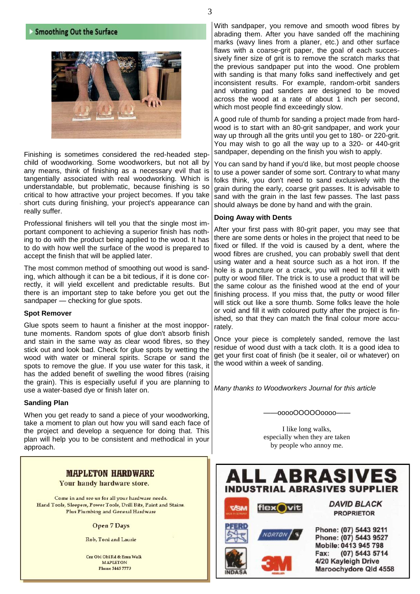### **Smoothing Out the Surface**



Finishing is sometimes considered the red-headed stepchild of woodworking. Some woodworkers, but not all by any means, think of finishing as a necessary evil that is tangentially associated with real woodworking. Which is understandable, but problematic, because finishing is so critical to how attractive your project becomes. If you take short cuts during finishing, your project's appearance can really suffer.

Professional finishers will tell you that the single most important component to achieving a superior finish has nothing to do with the product being applied to the wood. It has to do with how well the surface of the wood is prepared to accept the finish that will be applied later.

The most common method of smoothing out wood is sanding, which although it can be a bit tedious, if it is done correctly, it will yield excellent and predictable results. But there is an important step to take before you get out the sandpaper — checking for glue spots.

#### **Spot Remover**

Glue spots seem to haunt a finisher at the most inopportune moments. Random spots of glue don't absorb finish and stain in the same way as clear wood fibres, so they stick out and look bad. Check for glue spots by wetting the wood with water or mineral spirits. Scrape or sand the spots to remove the glue. If you use water for this task, it has the added benefit of swelling the wood fibres (raising the grain). This is especially useful if you are planning to use a water-based dye or finish later on.

#### **Sanding Plan**

When you get ready to sand a piece of your woodworking, take a moment to plan out how you will sand each face of the project and develop a sequence for doing that. This plan will help you to be consistent and methodical in your approach.

### **MAPLETON HARDWARE**

Your handy hardware store.

Come in and see us for all your hardware needs. Hand Tools, Sleepers, Power Tools, Drill Bits, Paint and Stains. Plus Plumbing and General Hardware

**Open 7 Days** 

**Rob. Toni and Laurie** 

Cur Obi Obi Rd & Emu Walk **MAPLETON Phone 5445 7773** 

With sandpaper, you remove and smooth wood fibres by abrading them. After you have sanded off the machining marks (wavy lines from a planer, etc.) and other surface flaws with a coarse-grit paper, the goal of each successively finer size of grit is to remove the scratch marks that the previous sandpaper put into the wood. One problem with sanding is that many folks sand ineffectively and get inconsistent results. For example, random-orbit sanders and vibrating pad sanders are designed to be moved across the wood at a rate of about 1 inch per second, which most people find exceedingly slow.

A good rule of thumb for sanding a project made from hardwood is to start with an 80-grit sandpaper, and work your way up through all the grits until you get to 180- or 220-grit. You may wish to go all the way up to a 320- or 440-grit sandpaper, depending on the finish you wish to apply.

You can sand by hand if you'd like, but most people choose to use a power sander of some sort. Contrary to what many folks think, you don't need to sand exclusively with the grain during the early, coarse grit passes. It is advisable to sand with the grain in the last few passes. The last pass should always be done by hand and with the grain.

#### **Doing Away with Dents**

After your first pass with 80-grit paper, you may see that there are some dents or holes in the project that need to be fixed or filled. If the void is caused by a dent, where the wood fibres are crushed, you can probably swell that dent using water and a heat source such as a hot iron. If the hole is a puncture or a crack, you will need to fill it with putty or wood filler. The trick is to use a product that will be the same colour as the finished wood at the end of your finishing process. If you miss that, the putty or wood filler will stick out like a sore thumb. Some folks leave the hole or void and fill it with coloured putty after the project is finished, so that they can match the final colour more accurately.

Once your piece is completely sanded, remove the last residue of wood dust with a tack cloth. It is a good idea to get your first coat of finish (be it sealer, oil or whatever) on the wood within a week of sanding.

*Many thanks to Woodworkers Journal for this article*

——ooooOOOOOoooo——

I like long walks, especially when they are taken by people who annoy me.

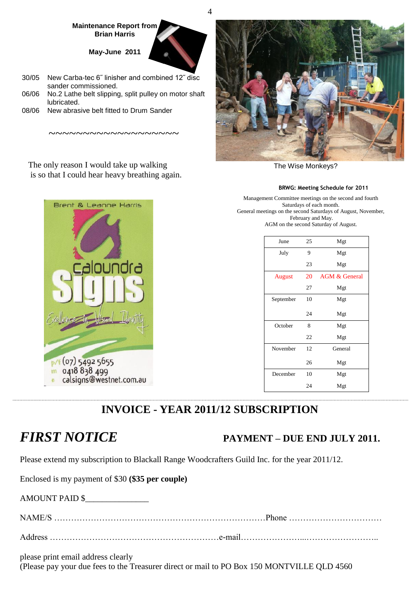#### **Maintenance Report from Brian Harris**

**May-June 2011**

- 30/05 New Carba-tec 6˝ linisher and combined 12˝ disc sander commissioned.
- 06/06 No.2 Lathe belt slipping, split pulley on motor shaft lubricated.

~~~~~~~~~~~~~~~~~~~

08/06 New abrasive belt fitted to Drum Sander

 The only reason I would take up walking is so that I could hear heavy breathing again.





The Wise Monkeys?

#### **BRWG: Meeting Schedule for 2011**

Management Committee meetings on the second and fourth Saturdays of each month. General meetings on the second Saturdays of August, November, February and May. AGM on the second Saturday of August.

| June      | 25 | Mgt                      |
|-----------|----|--------------------------|
| July      | 9  | Mgt                      |
|           | 23 | Mgt                      |
| August    | 20 | <b>AGM &amp; General</b> |
|           | 27 | Mgt                      |
| September | 10 | Mgt                      |
|           | 24 | Mgt                      |
| October   | 8  | Mgt                      |
|           | 22 | Mgt                      |
| November  | 12 | General                  |
|           | 26 | Mgt                      |
| December  | 10 | Mgt                      |
|           | 24 | Mgt                      |
|           |    |                          |

### **INVOICE - YEAR 2011/12 SUBSCRIPTION**

p/f(07) 5492 5655 0418 838 499

### *FIRST NOTICE* **PAYMENT – DUE END JULY 2011.**

Please extend my subscription to Blackall Range Woodcrafters Guild Inc. for the year 2011/12.

Enclosed is my payment of \$30 **(\$35 per couple)**

calsigns@westnet.com.au

| <b>AMOUNT PAID \$</b> |  |
|-----------------------|--|
|                       |  |

| NAME/S  |  |
|---------|--|
| Address |  |

please print email address clearly

(Please pay your due fees to the Treasurer direct or mail to PO Box 150 MONTVILLE QLD 4560

4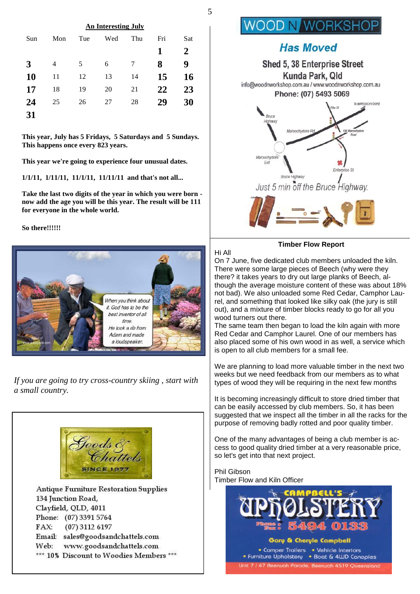|     |     |     | <b>An Interesting July</b> |     |     |     |
|-----|-----|-----|----------------------------|-----|-----|-----|
| Sun | Mon | Tue | Wed                        | Thu | Fri | Sat |
|     |     |     |                            |     | 1   | 2   |
| 3   | 4   | 5   | 6                          | 7   | 8   | 9   |
| 10  | 11  | 12  | 13                         | 14  | 15  | 16  |
| 17  | 18  | 19  | 20                         | 21  | 22  | 23  |
| 24  | 25  | 26  | 27                         | 28  | 29  | 30  |
| 31  |     |     |                            |     |     |     |

**This year, July has 5 Fridays, 5 Saturdays and 5 Sundays. This happens once every 823 years.** 

**This year we're going to experience four unusual dates.**

**1/1/11, 1/11/11, 11/1/11, 11/11/11 and that's not all...**

**Take the last two digits of the year in which you were born now add the age you will be this year. The result will be 111 for everyone in the whole world.** 

### **So there!!!!!!**



*If you are going to try cross-country skiing , start with a small country.*



Antique Furniture Restoration Supplies 134 Junction Road, Clayfield, QLD, 4011 Phone: (07) 3391 5764  $FAX:$  $(07)$  3112 6197 Email: sales@goodsandchattels.com Web: www.goodsandchattels.com \*\*\* 10% Discount to Woodies Members \*\*\*

# **WOOD N WORKSH**

5



**Timber Flow Report**

Hi All On 7 June, five dedicated club members unloaded the kiln. There were some large pieces of Beech (why were they there? it takes years to dry out large planks of Beech, although the average moisture content of these was about 18% not bad). We also unloaded some Red Cedar, Camphor Laurel, and something that looked like silky oak (the jury is still out), and a mixture of timber blocks ready to go for all you wood turners out there.

The same team then began to load the kiln again with more Red Cedar and Camphor Laurel. One of our members has also placed some of his own wood in as well, a service which is open to all club members for a small fee.

We are planning to load more valuable timber in the next two weeks but we need feedback from our members as to what types of wood they will be requiring in the next few months

It is becoming increasingly difficult to store dried timber that can be easily accessed by club members. So, it has been suggested that we inspect all the timber in all the racks for the purpose of removing badly rotted and poor quality timber.

One of the many advantages of being a club member is access to good quality dried timber at a very reasonable price, so let's get into that next project.

Phil Gibson Timber Flow and Kiln Officer



Unit 7 / 47 Beerwah Parade, Beerwah 4519 Q